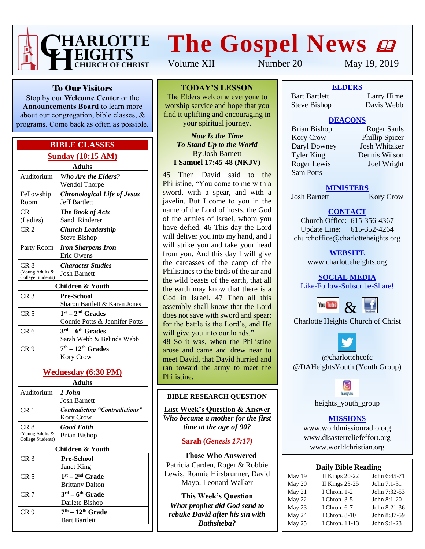

# **The Gospel News**

Volume XII Number 20 May 19, 2019

To Our Visitors

Stop by our **Welcome Center** or the **Announcements Board** to learn more about our congregation, bible classes, & programs. Come back as often as possible.

### **BIBLE CLASSES Sunday (10:15 AM)**

| <b>Adults</b>                        |                                        |  |  |  |  |  |
|--------------------------------------|----------------------------------------|--|--|--|--|--|
| Auditorium                           | <b>Who Are the Elders?</b>             |  |  |  |  |  |
|                                      | Wendol Thorpe                          |  |  |  |  |  |
| Fellowship                           | <b>Chronological Life of Jesus</b>     |  |  |  |  |  |
| Room                                 | <b>Jeff Bartlett</b>                   |  |  |  |  |  |
| CR 1                                 | <b>The Book of Acts</b>                |  |  |  |  |  |
| (Ladies)                             | Sandi Rinderer                         |  |  |  |  |  |
| CR <sub>2</sub>                      | Church Leadership                      |  |  |  |  |  |
|                                      | Steve Bishop                           |  |  |  |  |  |
| Party Room                           | <b>Iron Sharpens Iron</b>              |  |  |  |  |  |
|                                      | Eric Owens                             |  |  |  |  |  |
| CR <sub>8</sub>                      | <b>Character Studies</b>               |  |  |  |  |  |
| (Young Adults &<br>College Students) | <b>Josh Barnett</b>                    |  |  |  |  |  |
| Children & Youth                     |                                        |  |  |  |  |  |
| CR <sub>3</sub>                      | Pre-School                             |  |  |  |  |  |
|                                      | Sharon Bartlett & Karen Jones          |  |  |  |  |  |
| CR <sub>5</sub>                      | $1st - 2nd$ Grades                     |  |  |  |  |  |
|                                      | Connie Potts & Jennifer Potts          |  |  |  |  |  |
| CR <sub>6</sub>                      | $3^{\text{rd}} - 6^{\text{th}}$ Grades |  |  |  |  |  |
|                                      | Sarah Webb & Belinda Webb              |  |  |  |  |  |
| CR 9                                 | $7th - 12th$ Grades                    |  |  |  |  |  |

## **Wednesday (6:30 PM)**

Kory Crow

| , , , , , , , , ,                            |                                                    |  |  |  |  |
|----------------------------------------------|----------------------------------------------------|--|--|--|--|
| Auditorium                                   | 1 John<br><b>Josh Barnett</b>                      |  |  |  |  |
| CR <sub>1</sub>                              | <b>Contradicting "Contradictions"</b><br>Kory Crow |  |  |  |  |
| CR 8<br>(Young Adults &<br>College Students) | <b>Good Faith</b><br>Brian Bishop                  |  |  |  |  |
| Children & Youth                             |                                                    |  |  |  |  |
| CR <sub>3</sub>                              | <b>Pre-School</b><br>Janet King                    |  |  |  |  |
| CR <sub>5</sub>                              | $1st - 2nd$ Grade<br><b>Brittany Dalton</b>        |  |  |  |  |
| CR 7                                         | $3^{\text{rd}} - 6^{\text{th}}$ Grade              |  |  |  |  |

Darlete Bishop

**th – 12th Grade** Bart Bartlett

CR 9 **7**

## **TODAY'S LESSON**

The Elders welcome everyone to worship service and hope that you find it uplifting and encouraging in your spiritual journey.

#### *Now Is the Time To Stand Up to the World* By Josh Barnett **I Samuel 17:45-48 (NKJV)**

45 Then David said to the Philistine, "You come to me with a sword, with a spear, and with a javelin. But I come to you in the name of the Lord of hosts, the God of the armies of Israel, whom you have defied. 46 This day the Lord will deliver you into my hand, and I will strike you and take your head from you. And this day I will give the carcasses of the camp of the Philistines to the birds of the air and the wild beasts of the earth, that all the earth may know that there is a God in Israel. 47 Then all this assembly shall know that the Lord does not save with sword and spear; for the battle is the Lord's, and He will give you into our hands."

48 So it was, when the Philistine arose and came and drew near to meet David, that David hurried and ran toward the army to meet the Philistine.

#### **BIBLE RESEARCH QUESTION**

**Last Week's Question & Answer** *Who became a mother for the first time at the age of 90?*

#### **Sarah (***Genesis 17:17)*

**Those Who Answered** Patricia Carden, Roger & Robbie Lewis, Ronnie Hirsbrunner, David Mayo, Leonard Walker

**This Week's Question** *What prophet did God send to rebuke David after his sin with Bathsheba?*

**ELDERS**

Bart Bartlett Larry Hime Steve Bishop Davis Webb

#### **DEACONS**

Kory Crow Phillip Spicer<br>
Daryl Downey Josh Whitaker Daryl Downey Tyler King Dennis Wilson Roger Lewis Joel Wright Sam Potts

Brian Bishop Roger Sauls

**MINISTERS**

Josh Barnett Kory Crow

## **CONTACT**

Church Office: 615-356-4367 Update Line: 615-352-4264 churchoffice@charlotteheights.org

> **WEBSITE** [www.charlotteheights.org](http://www.charlotteheights.org/)

**SOCIAL MEDIA** Like-Follow-Subscribe-Share!



Charlotte Heights Church of Christ



@charlottehcofc @DAHeightsYouth (Youth Group)



heights\_youth\_group

#### **MISSIONS**

www.worldmissionradio.org [www.disasterreliefeffort.org](http://www.disasterreliefeffort.org/) [www.worldchristian.org](http://www.worldchristian.org/)

| <b>Daily Bible Reading</b> |
|----------------------------|
|----------------------------|

| May 19 | II Kings $20-22$      | John 6:45-71 |
|--------|-----------------------|--------------|
| May 20 | <b>II Kings 23-25</b> | John 7:1-31  |
| May 21 | I Chron. 1-2          | John 7:32-53 |
| May 22 | I Chron. $3-5$        | John 8:1-20  |
| May 23 | I Chron. 6-7          | John 8:21-36 |
| May 24 | I Chron. 8-10         | John 8:37-59 |
| May 25 | I Chron. 11-13        | John 9:1-23  |
|        |                       |              |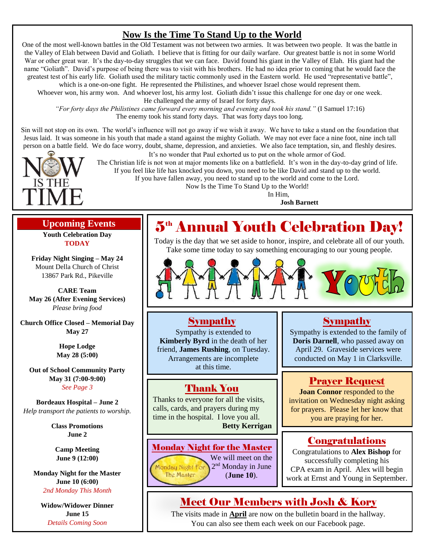## **Now Is the Time To Stand Up to the World**

One of the most well-known battles in the Old Testament was not between two armies. It was between two people. It was the battle in the Valley of Elah between David and Goliath. I believe that is fitting for our daily warfare. Our greatest battle is not in some World War or other great war. It's the day-to-day struggles that we can face. David found his giant in the Valley of Elah. His giant had the name "Goliath". David's purpose of being there was to visit with his brothers. He had no idea prior to coming that he would face the greatest test of his early life. Goliath used the military tactic commonly used in the Eastern world. He used "representative battle",

which is a one-on-one fight. He represented the Philistines, and whoever Israel chose would represent them.

Whoever won, his army won. And whoever lost, his army lost. Goliath didn't issue this challenge for one day or one week. He challenged the army of Israel for forty days.

*"For forty days the Philistines came forward every morning and evening and took his stand."* (I Samuel 17:16) The enemy took his stand forty days. That was forty days too long.

Sin will not stop on its own. The world's influence will not go away if we wish it away. We have to take a stand on the foundation that Jesus laid. It was someone in his youth that made a stand against the mighty Goliath. We may not ever face a nine foot, nine inch tall person on a battle field. We do face worry, doubt, shame, depression, and anxieties. We also face temptation, sin, and fleshly desires.



It's no wonder that Paul exhorted us to put on the whole armor of God.

The Christian life is not won at major moments like on a battlefield. It's won in the day-to-day grind of life. If you feel like life has knocked you down, you need to be like David and stand up to the world.

If you have fallen away, you need to stand up to the world and come to the Lord.

Now Is the Time To Stand Up to the World!

In Him,

**Josh Barnett**

## **Upcoming Events**

**Youth Celebration Day TODAY**

**Friday Night Singing – May 24** Mount Della Church of Christ 13867 Park Rd., Pikeville

**CARE Team May 26 (After Evening Services)** *Please bring food*

**Church Office Closed – Memorial Day May 27**

> **Hope Lodge May 28 (5:00)**

**Out of School Community Party May 31 (7:00-9:00)** *See Page 3*

**Bordeaux Hospital – June 2** *Help transport the patients to worship.*

> **Class Promotions June 2**

**Camp Meeting June 9 (12:00)**

**Monday Night for the Master June 10 (6:00)** *2nd Monday This Month*

**Widow/Widower Dinner June 15** *Details Coming Soon*

## $\mathbf{5}^{\tiny{\text{th}}}$  Annual Youth Celebration Day!

Today is the day that we set aside to honor, inspire, and celebrate all of our youth. Take some time today to say something encouraging to our young people.



#### Sympathy

Sympathy is extended to **Kimberly Byrd** in the death of her friend, **James Rushing**, on Tuesday. Arrangements are incomplete at this time.

## Thank You

Thanks to everyone for all the visits, calls, cards, and prayers during my time in the hospital. I love you all. **Betty Kerrigan**

#### Monday Night for the Master

We will meet on the 2<sup>nd</sup> Monday in June Monday Night For The Master (**June 10**).

## Sympathy

Sympathy is extended to the family of **Doris Darnell**, who passed away on April 29. Graveside services were conducted on May 1 in Clarksville.

## Prayer Request

**Joan Connor** responded to the invitation on Wednesday night asking for prayers. Please let her know that you are praying for her.

## Congratulations

Congratulations to **Alex Bishop** for successfully completing his CPA exam in April. Alex will begin work at Ernst and Young in September.

## Meet Our Members with Josh & Kory

The visits made in **April** are now on the bulletin board in the hallway. You can also see them each week on our Facebook page.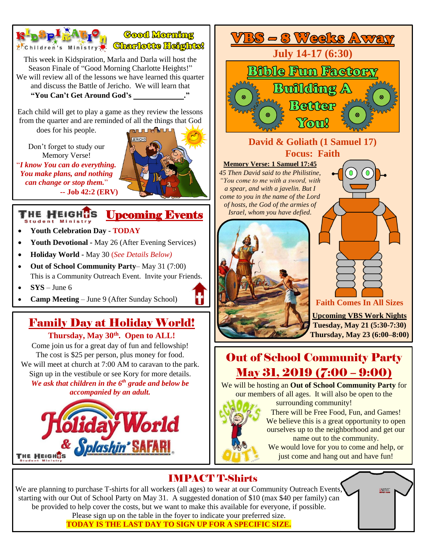

be provided to help cover the costs, but we want to make this available for everyone, if possible. Please sign up on the table in the foyer to indicate your preferred size.

**TODAY IS THE LAST DAY TO SIGN UP FOR A SPECIFIC SIZE.**